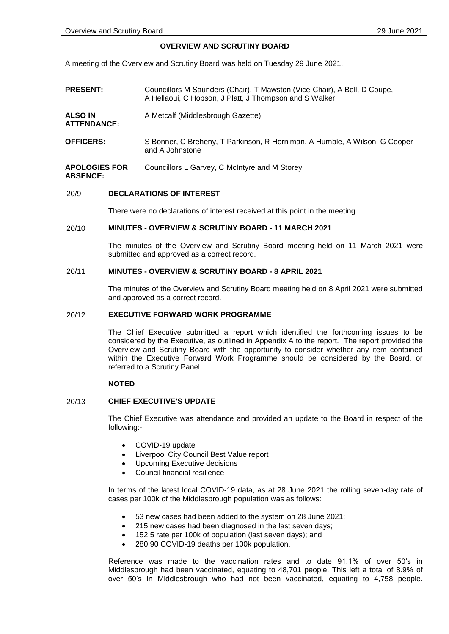# **OVERVIEW AND SCRUTINY BOARD**

A meeting of the Overview and Scrutiny Board was held on Tuesday 29 June 2021.

**PRESENT:** Councillors M Saunders (Chair), T Mawston (Vice-Chair), A Bell, D Coupe, A Hellaoui, C Hobson, J Platt, J Thompson and S Walker **ALSO IN ATTENDANCE:** A Metcalf (Middlesbrough Gazette) **OFFICERS:** S Bonner, C Breheny, T Parkinson, R Horniman, A Humble, A Wilson, G Cooper and A Johnstone **APOLOGIES FOR ABSENCE:** Councillors L Garvey, C McIntyre and M Storey

### 20/9 **DECLARATIONS OF INTEREST**

There were no declarations of interest received at this point in the meeting.

# 20/10 **MINUTES - OVERVIEW & SCRUTINY BOARD - 11 MARCH 2021**

The minutes of the Overview and Scrutiny Board meeting held on 11 March 2021 were submitted and approved as a correct record.

### 20/11 **MINUTES - OVERVIEW & SCRUTINY BOARD - 8 APRIL 2021**

The minutes of the Overview and Scrutiny Board meeting held on 8 April 2021 were submitted and approved as a correct record.

#### 20/12 **EXECUTIVE FORWARD WORK PROGRAMME**

The Chief Executive submitted a report which identified the forthcoming issues to be considered by the Executive, as outlined in Appendix A to the report. The report provided the Overview and Scrutiny Board with the opportunity to consider whether any item contained within the Executive Forward Work Programme should be considered by the Board, or referred to a Scrutiny Panel.

## **NOTED**

### 20/13 **CHIEF EXECUTIVE'S UPDATE**

The Chief Executive was attendance and provided an update to the Board in respect of the following:-

- COVID-19 update
- Liverpool City Council Best Value report
- Upcoming Executive decisions
- Council financial resilience

In terms of the latest local COVID-19 data, as at 28 June 2021 the rolling seven-day rate of cases per 100k of the Middlesbrough population was as follows:

- 53 new cases had been added to the system on 28 June 2021;
- 215 new cases had been diagnosed in the last seven days;
- 152.5 rate per 100k of population (last seven days); and
- 280.90 COVID-19 deaths per 100k population.

Reference was made to the vaccination rates and to date 91.1% of over 50's in Middlesbrough had been vaccinated, equating to 48,701 people. This left a total of 8.9% of over 50's in Middlesbrough who had not been vaccinated, equating to 4,758 people.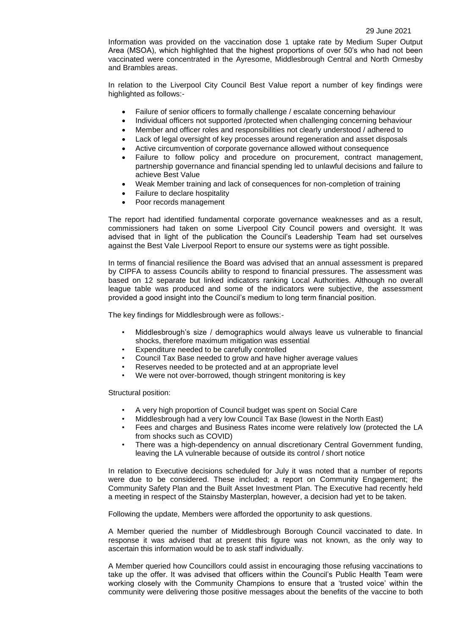Information was provided on the vaccination dose 1 uptake rate by Medium Super Output Area (MSOA), which highlighted that the highest proportions of over 50's who had not been vaccinated were concentrated in the Ayresome, Middlesbrough Central and North Ormesby and Brambles areas.

In relation to the Liverpool City Council Best Value report a number of key findings were highlighted as follows:-

- Failure of senior officers to formally challenge / escalate concerning behaviour
- Individual officers not supported /protected when challenging concerning behaviour
- Member and officer roles and responsibilities not clearly understood / adhered to
- Lack of legal oversight of key processes around regeneration and asset disposals
- Active circumvention of corporate governance allowed without consequence
- Failure to follow policy and procedure on procurement, contract management, partnership governance and financial spending led to unlawful decisions and failure to achieve Best Value
- Weak Member training and lack of consequences for non-completion of training
- Failure to declare hospitality
- Poor records management

The report had identified fundamental corporate governance weaknesses and as a result, commissioners had taken on some Liverpool City Council powers and oversight. It was advised that in light of the publication the Council's Leadership Team had set ourselves against the Best Vale Liverpool Report to ensure our systems were as tight possible.

In terms of financial resilience the Board was advised that an annual assessment is prepared by CIPFA to assess Councils ability to respond to financial pressures. The assessment was based on 12 separate but linked indicators ranking Local Authorities. Although no overall league table was produced and some of the indicators were subjective, the assessment provided a good insight into the Council's medium to long term financial position.

The key findings for Middlesbrough were as follows:-

- Middlesbrough's size / demographics would always leave us vulnerable to financial shocks, therefore maximum mitigation was essential
- Expenditure needed to be carefully controlled
- Council Tax Base needed to grow and have higher average values
- Reserves needed to be protected and at an appropriate level
- We were not over-borrowed, though stringent monitoring is key

Structural position:

- A very high proportion of Council budget was spent on Social Care
- Middlesbrough had a very low Council Tax Base (lowest in the North East)
- Fees and charges and Business Rates income were relatively low (protected the LA from shocks such as COVID)
- There was a high-dependency on annual discretionary Central Government funding, leaving the LA vulnerable because of outside its control / short notice

In relation to Executive decisions scheduled for July it was noted that a number of reports were due to be considered. These included; a report on Community Engagement; the Community Safety Plan and the Built Asset Investment Plan. The Executive had recently held a meeting in respect of the Stainsby Masterplan, however, a decision had yet to be taken.

Following the update, Members were afforded the opportunity to ask questions.

A Member queried the number of Middlesbrough Borough Council vaccinated to date. In response it was advised that at present this figure was not known, as the only way to ascertain this information would be to ask staff individually.

A Member queried how Councillors could assist in encouraging those refusing vaccinations to take up the offer. It was advised that officers within the Council's Public Health Team were working closely with the Community Champions to ensure that a 'trusted voice' within the community were delivering those positive messages about the benefits of the vaccine to both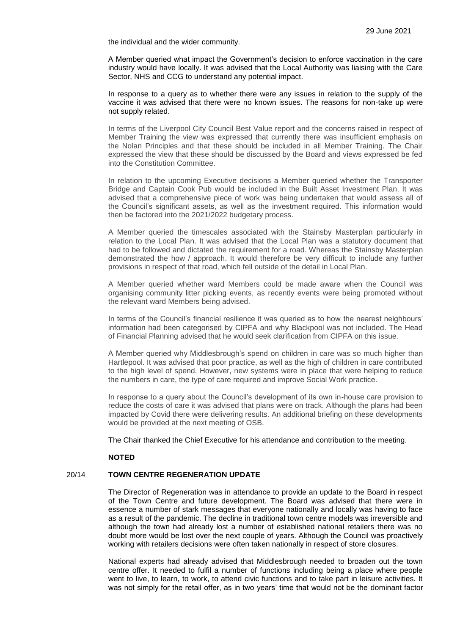the individual and the wider community.

A Member queried what impact the Government's decision to enforce vaccination in the care industry would have locally. It was advised that the Local Authority was liaising with the Care Sector, NHS and CCG to understand any potential impact.

In response to a query as to whether there were any issues in relation to the supply of the vaccine it was advised that there were no known issues. The reasons for non-take up were not supply related.

In terms of the Liverpool City Council Best Value report and the concerns raised in respect of Member Training the view was expressed that currently there was insufficient emphasis on the Nolan Principles and that these should be included in all Member Training. The Chair expressed the view that these should be discussed by the Board and views expressed be fed into the Constitution Committee.

In relation to the upcoming Executive decisions a Member queried whether the Transporter Bridge and Captain Cook Pub would be included in the Built Asset Investment Plan. It was advised that a comprehensive piece of work was being undertaken that would assess all of the Council's significant assets, as well as the investment required. This information would then be factored into the 2021/2022 budgetary process.

A Member queried the timescales associated with the Stainsby Masterplan particularly in relation to the Local Plan. It was advised that the Local Plan was a statutory document that had to be followed and dictated the requirement for a road. Whereas the Stainsby Masterplan demonstrated the how / approach. It would therefore be very difficult to include any further provisions in respect of that road, which fell outside of the detail in Local Plan.

A Member queried whether ward Members could be made aware when the Council was organising community litter picking events, as recently events were being promoted without the relevant ward Members being advised.

In terms of the Council's financial resilience it was queried as to how the nearest neighbours' information had been categorised by CIPFA and why Blackpool was not included. The Head of Financial Planning advised that he would seek clarification from CIPFA on this issue.

A Member queried why Middlesbrough's spend on children in care was so much higher than Hartlepool. It was advised that poor practice, as well as the high of children in care contributed to the high level of spend. However, new systems were in place that were helping to reduce the numbers in care, the type of care required and improve Social Work practice.

In response to a query about the Council's development of its own in-house care provision to reduce the costs of care it was advised that plans were on track. Although the plans had been impacted by Covid there were delivering results. An additional briefing on these developments would be provided at the next meeting of OSB.

The Chair thanked the Chief Executive for his attendance and contribution to the meeting.

# **NOTED**

# 20/14 **TOWN CENTRE REGENERATION UPDATE**

The Director of Regeneration was in attendance to provide an update to the Board in respect of the Town Centre and future development. The Board was advised that there were in essence a number of stark messages that everyone nationally and locally was having to face as a result of the pandemic. The decline in traditional town centre models was irreversible and although the town had already lost a number of established national retailers there was no doubt more would be lost over the next couple of years. Although the Council was proactively working with retailers decisions were often taken nationally in respect of store closures.

National experts had already advised that Middlesbrough needed to broaden out the town centre offer. It needed to fulfil a number of functions including being a place where people went to live, to learn, to work, to attend civic functions and to take part in leisure activities. It was not simply for the retail offer, as in two years' time that would not be the dominant factor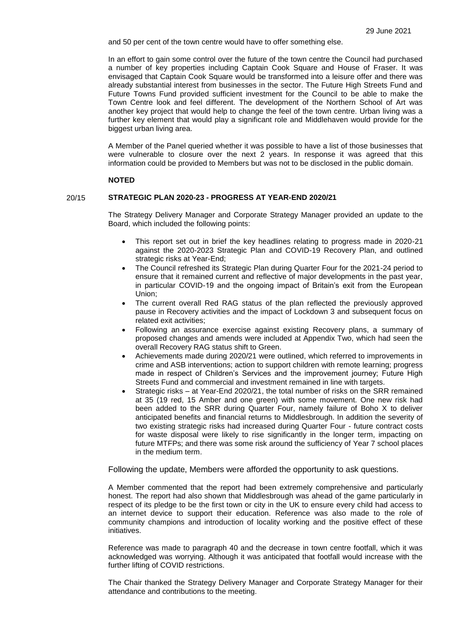and 50 per cent of the town centre would have to offer something else.

In an effort to gain some control over the future of the town centre the Council had purchased a number of key properties including Captain Cook Square and House of Fraser. It was envisaged that Captain Cook Square would be transformed into a leisure offer and there was already substantial interest from businesses in the sector. The Future High Streets Fund and Future Towns Fund provided sufficient investment for the Council to be able to make the Town Centre look and feel different. The development of the Northern School of Art was another key project that would help to change the feel of the town centre. Urban living was a further key element that would play a significant role and Middlehaven would provide for the biggest urban living area.

A Member of the Panel queried whether it was possible to have a list of those businesses that were vulnerable to closure over the next 2 years. In response it was agreed that this information could be provided to Members but was not to be disclosed in the public domain.

#### **NOTED**

# 20/15 **STRATEGIC PLAN 2020-23 - PROGRESS AT YEAR-END 2020/21**

The Strategy Delivery Manager and Corporate Strategy Manager provided an update to the Board, which included the following points:

- This report set out in brief the key headlines relating to progress made in 2020-21 against the 2020-2023 Strategic Plan and COVID-19 Recovery Plan, and outlined strategic risks at Year-End;
- The Council refreshed its Strategic Plan during Quarter Four for the 2021-24 period to ensure that it remained current and reflective of major developments in the past year, in particular COVID-19 and the ongoing impact of Britain's exit from the European Union;
- The current overall Red RAG status of the plan reflected the previously approved pause in Recovery activities and the impact of Lockdown 3 and subsequent focus on related exit activities;
- Following an assurance exercise against existing Recovery plans, a summary of proposed changes and amends were included at Appendix Two, which had seen the overall Recovery RAG status shift to Green.
- Achievements made during 2020/21 were outlined, which referred to improvements in crime and ASB interventions; action to support children with remote learning; progress made in respect of Children's Services and the improvement journey; Future High Streets Fund and commercial and investment remained in line with targets.
- Strategic risks at Year-End 2020/21, the total number of risks on the SRR remained at 35 (19 red, 15 Amber and one green) with some movement. One new risk had been added to the SRR during Quarter Four, namely failure of Boho X to deliver anticipated benefits and financial returns to Middlesbrough. In addition the severity of two existing strategic risks had increased during Quarter Four - future contract costs for waste disposal were likely to rise significantly in the longer term, impacting on future MTFPs; and there was some risk around the sufficiency of Year 7 school places in the medium term.

Following the update, Members were afforded the opportunity to ask questions.

A Member commented that the report had been extremely comprehensive and particularly honest. The report had also shown that Middlesbrough was ahead of the game particularly in respect of its pledge to be the first town or city in the UK to ensure every child had access to an internet device to support their education. Reference was also made to the role of community champions and introduction of locality working and the positive effect of these initiatives.

Reference was made to paragraph 40 and the decrease in town centre footfall, which it was acknowledged was worrying. Although it was anticipated that footfall would increase with the further lifting of COVID restrictions.

The Chair thanked the Strategy Delivery Manager and Corporate Strategy Manager for their attendance and contributions to the meeting.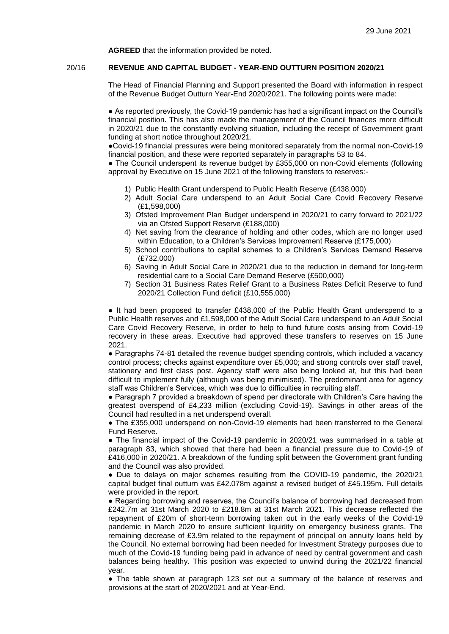**AGREED** that the information provided be noted.

### 20/16 **REVENUE AND CAPITAL BUDGET - YEAR-END OUTTURN POSITION 2020/21**

The Head of Financial Planning and Support presented the Board with information in respect of the Revenue Budget Outturn Year-End 2020/2021. The following points were made:

● As reported previously, the Covid-19 pandemic has had a significant impact on the Council's financial position. This has also made the management of the Council finances more difficult in 2020/21 due to the constantly evolving situation, including the receipt of Government grant funding at short notice throughout 2020/21.

●Covid-19 financial pressures were being monitored separately from the normal non-Covid-19 financial position, and these were reported separately in paragraphs 53 to 84.

• The Council underspent its revenue budget by £355,000 on non-Covid elements (following approval by Executive on 15 June 2021 of the following transfers to reserves:-

- 1) Public Health Grant underspend to Public Health Reserve (£438,000)
- 2) Adult Social Care underspend to an Adult Social Care Covid Recovery Reserve (£1,598,000)
- 3) Ofsted Improvement Plan Budget underspend in 2020/21 to carry forward to 2021/22 via an Ofsted Support Reserve (£188,000)
- 4) Net saving from the clearance of holding and other codes, which are no longer used within Education, to a Children's Services Improvement Reserve (£175,000)
- 5) School contributions to capital schemes to a Children's Services Demand Reserve (£732,000)
- 6) Saving in Adult Social Care in 2020/21 due to the reduction in demand for long-term residential care to a Social Care Demand Reserve (£500,000)
- 7) Section 31 Business Rates Relief Grant to a Business Rates Deficit Reserve to fund 2020/21 Collection Fund deficit (£10,555,000)

• It had been proposed to transfer £438,000 of the Public Health Grant underspend to a Public Health reserves and £1,598,000 of the Adult Social Care underspend to an Adult Social Care Covid Recovery Reserve, in order to help to fund future costs arising from Covid-19 recovery in these areas. Executive had approved these transfers to reserves on 15 June 2021.

● Paragraphs 74-81 detailed the revenue budget spending controls, which included a vacancy control process; checks against expenditure over £5,000; and strong controls over staff travel, stationery and first class post. Agency staff were also being looked at, but this had been difficult to implement fully (although was being minimised). The predominant area for agency staff was Children's Services, which was due to difficulties in recruiting staff.

● Paragraph 7 provided a breakdown of spend per directorate with Children's Care having the greatest overspend of £4,233 million (excluding Covid-19). Savings in other areas of the Council had resulted in a net underspend overall.

• The £355,000 underspend on non-Covid-19 elements had been transferred to the General Fund Reserve.

● The financial impact of the Covid-19 pandemic in 2020/21 was summarised in a table at paragraph 83, which showed that there had been a financial pressure due to Covid-19 of £416,000 in 2020/21. A breakdown of the funding split between the Government grant funding and the Council was also provided.

● Due to delays on major schemes resulting from the COVID-19 pandemic, the 2020/21 capital budget final outturn was £42.078m against a revised budget of £45.195m. Full details were provided in the report.

● Regarding borrowing and reserves, the Council's balance of borrowing had decreased from £242.7m at 31st March 2020 to £218.8m at 31st March 2021. This decrease reflected the repayment of £20m of short-term borrowing taken out in the early weeks of the Covid-19 pandemic in March 2020 to ensure sufficient liquidity on emergency business grants. The remaining decrease of £3.9m related to the repayment of principal on annuity loans held by the Council. No external borrowing had been needed for Investment Strategy purposes due to much of the Covid-19 funding being paid in advance of need by central government and cash balances being healthy. This position was expected to unwind during the 2021/22 financial year.

• The table shown at paragraph 123 set out a summary of the balance of reserves and provisions at the start of 2020/2021 and at Year-End.